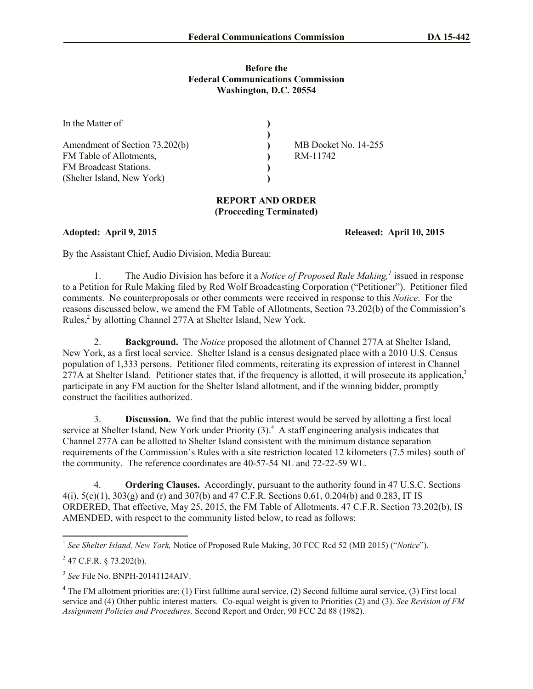## **Before the Federal Communications Commission Washington, D.C. 20554**

| In the Matter of               |                      |
|--------------------------------|----------------------|
|                                |                      |
| Amendment of Section 73.202(b) | MB Docket No. 14-255 |
| FM Table of Allotments,        | RM-11742             |
| <b>FM</b> Broadcast Stations.  |                      |
| (Shelter Island, New York)     |                      |

## **REPORT AND ORDER (Proceeding Terminated)**

**Adopted: April 9, 2015 Released: April 10, 2015** 

By the Assistant Chief, Audio Division, Media Bureau:

1. The Audio Division has before it a *Notice of Proposed Rule Making,<sup>1</sup>* issued in response to a Petition for Rule Making filed by Red Wolf Broadcasting Corporation ("Petitioner"). Petitioner filed comments. No counterproposals or other comments were received in response to this *Notice*. For the reasons discussed below, we amend the FM Table of Allotments, Section 73.202(b) of the Commission's Rules,<sup>2</sup> by allotting Channel 277A at Shelter Island, New York.

2. **Background.** The *Notice* proposed the allotment of Channel 277A at Shelter Island, New York, as a first local service. Shelter Island is a census designated place with a 2010 U.S. Census population of 1,333 persons. Petitioner filed comments, reiterating its expression of interest in Channel 277A at Shelter Island. Petitioner states that, if the frequency is allotted, it will prosecute its application,<sup>3</sup> participate in any FM auction for the Shelter Island allotment, and if the winning bidder, promptly construct the facilities authorized.

3. **Discussion.** We find that the public interest would be served by allotting a first local service at Shelter Island, New York under Priority (3).<sup>4</sup> A staff engineering analysis indicates that Channel 277A can be allotted to Shelter Island consistent with the minimum distance separation requirements of the Commission's Rules with a site restriction located 12 kilometers (7.5 miles) south of the community. The reference coordinates are 40-57-54 NL and 72-22-59 WL.

4. **Ordering Clauses.** Accordingly, pursuant to the authority found in 47 U.S.C. Sections  $4(i)$ ,  $5(c)(1)$ ,  $303(g)$  and (r) and  $307(b)$  and  $47$  C.F.R. Sections 0.61, 0.204(b) and 0.283, IT IS ORDERED, That effective, May 25, 2015, the FM Table of Allotments, 47 C.F.R. Section 73.202(b), IS AMENDED, with respect to the community listed below, to read as follows:

 1 *See Shelter Island, New York,* Notice of Proposed Rule Making, 30 FCC Rcd 52 (MB 2015) ("*Notice*").

 $^{2}$  47 C.F.R. § 73.202(b).

<sup>3</sup> *See* File No. BNPH-20141124AIV.

<sup>&</sup>lt;sup>4</sup> The FM allotment priorities are: (1) First fulltime aural service, (2) Second fulltime aural service, (3) First local service and (4) Other public interest matters. Co-equal weight is given to Priorities (2) and (3). *See Revision of FM Assignment Policies and Procedures,* Second Report and Order, 90 FCC 2d 88 (1982).